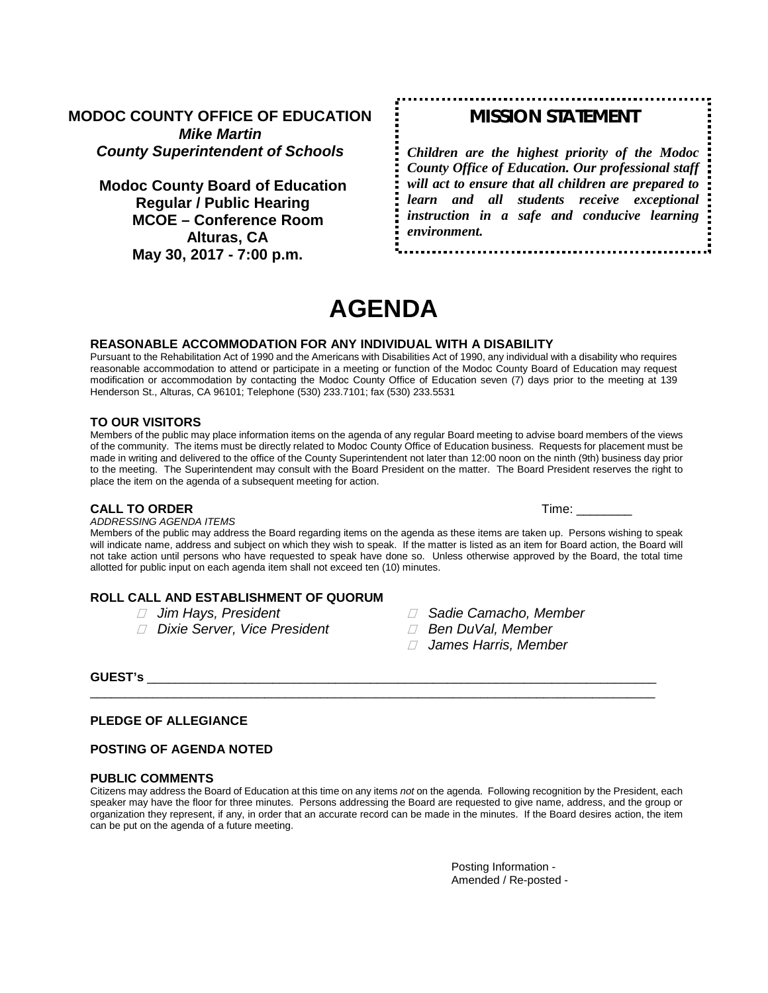**MODOC COUNTY OFFICE OF EDUCATION** *Mike Martin County Superintendent of Schools*

**Modoc County Board of Education Regular / Public Hearing MCOE – Conference Room Alturas, CA May 30, 2017 - 7:00 p.m.**

## *MISSION STATEMENT*

*Children are the highest priority of the Modoc County Office of Education. Our professional staff will act to ensure that all children are prepared to learn and all students receive exceptional instruction in a safe and conducive learning environment.*

# **AGENDA**

#### **REASONABLE ACCOMMODATION FOR ANY INDIVIDUAL WITH A DISABILITY**

Pursuant to the Rehabilitation Act of 1990 and the Americans with Disabilities Act of 1990, any individual with a disability who requires reasonable accommodation to attend or participate in a meeting or function of the Modoc County Board of Education may request modification or accommodation by contacting the Modoc County Office of Education seven (7) days prior to the meeting at 139 Henderson St., Alturas, CA 96101; Telephone (530) 233.7101; fax (530) 233.5531

### **TO OUR VISITORS**

Members of the public may place information items on the agenda of any regular Board meeting to advise board members of the views of the community. The items must be directly related to Modoc County Office of Education business. Requests for placement must be made in writing and delivered to the office of the County Superintendent not later than 12:00 noon on the ninth (9th) business day prior to the meeting. The Superintendent may consult with the Board President on the matter. The Board President reserves the right to place the item on the agenda of a subsequent meeting for action.

#### **CALL TO ORDER** Time: \_\_\_\_\_\_\_\_

#### *ADDRESSING AGENDA ITEMS*

Members of the public may address the Board regarding items on the agenda as these items are taken up. Persons wishing to speak will indicate name, address and subject on which they wish to speak. If the matter is listed as an item for Board action, the Board will not take action until persons who have requested to speak have done so. Unless otherwise approved by the Board, the total time allotted for public input on each agenda item shall not exceed ten (10) minutes.

# **ROLL CALL AND ESTABLISHMENT OF QUORUM**<br>*I* Jim Hays, President

- 
- *Dixie Server, Vice President Ben DuVal, Member*
- *Jim Hays, President Sadie Camacho, Member*
	-
	- *James Harris, Member*

### **GUEST's** \_\_\_\_\_\_\_\_\_\_\_\_\_\_\_\_\_\_\_\_\_\_\_\_\_\_\_\_\_\_\_\_\_\_\_\_\_\_\_\_\_\_\_\_\_\_\_\_\_\_\_\_\_\_\_\_\_\_\_\_\_\_\_\_\_\_\_\_\_\_\_\_\_

### **PLEDGE OF ALLEGIANCE**

### **POSTING OF AGENDA NOTED**

#### **PUBLIC COMMENTS**

Citizens may address the Board of Education at this time on any items *not* on the agenda. Following recognition by the President, each speaker may have the floor for three minutes. Persons addressing the Board are requested to give name, address, and the group or organization they represent, if any, in order that an accurate record can be made in the minutes. If the Board desires action, the item can be put on the agenda of a future meeting.

\_\_\_\_\_\_\_\_\_\_\_\_\_\_\_\_\_\_\_\_\_\_\_\_\_\_\_\_\_\_\_\_\_\_\_\_\_\_\_\_\_\_\_\_\_\_\_\_\_\_\_\_\_\_\_\_\_\_\_\_\_\_\_\_\_\_\_\_\_\_\_\_\_\_\_\_\_\_\_\_\_

Posting Information - Amended / Re-posted -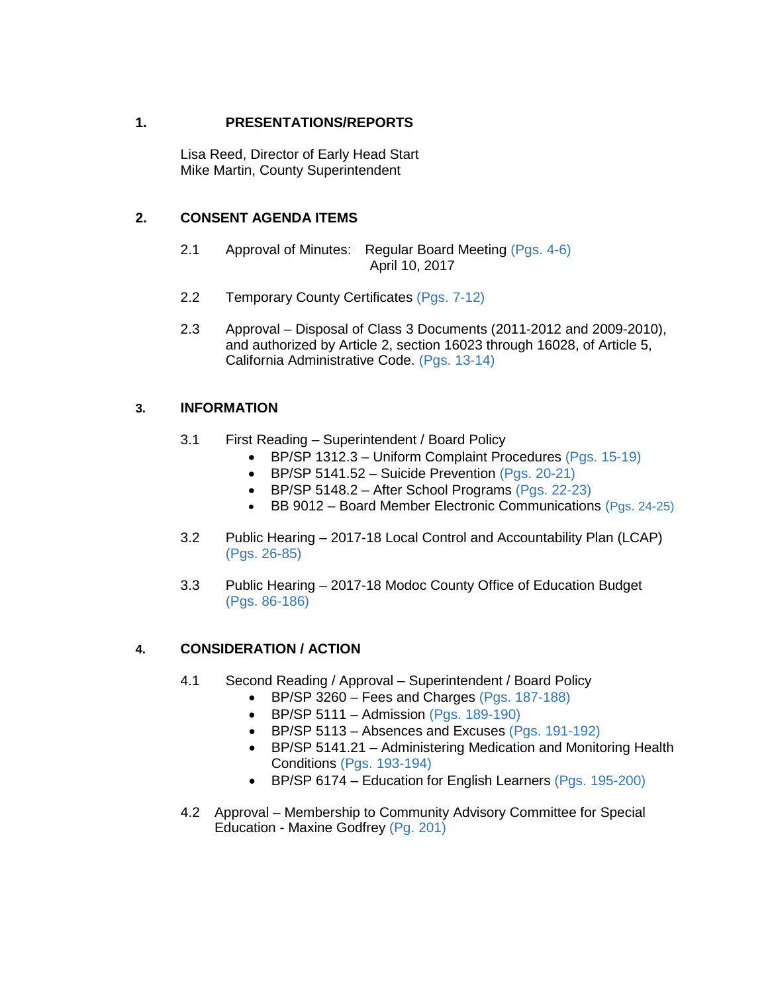## **1. PRESENTATIONS/REPORTS**

Lisa Reed, Director of Early Head Start Mike Martin, County Superintendent

## **2. CONSENT AGENDA ITEMS**

- 2.1 Approval of Minutes: Regular Board Meeting (Pgs. 4-6) April 10, 2017
- 2.2 Temporary County Certificates (Pgs. 7-12)
- 2.3 Approval Disposal of Class 3 Documents (2011-2012 and 2009-2010), and authorized by Article 2, section 16023 through 16028, of Article 5, California Administrative Code. (Pgs. 13-14)

## **3. INFORMATION**

- 3.1 First Reading Superintendent / Board Policy
	- BP/SP 1312.3 Uniform Complaint Procedures (Pgs. 15-19)
	- BP/SP 5141.52 Suicide Prevention (Pgs. 20-21)
	- BP/SP 5148.2 After School Programs (Pgs. 22-23)
	- BB 9012 Board Member Electronic Communications (Pgs. 24-25)
- 3.2 Public Hearing 2017-18 Local Control and Accountability Plan (LCAP) (Pgs. 26-85)
- 3.3 Public Hearing 2017-18 Modoc County Office of Education Budget (Pgs. 86-186)

## **4. CONSIDERATION / ACTION**

- 4.1 Second Reading / Approval Superintendent / Board Policy
	- BP/SP 3260 Fees and Charges (Pgs. 187-188)
	- BP/SP 5111 Admission (Pgs.  $189-190$ )
	- BP/SP 5113 Absences and Excuses (Pgs. 191-192)
	- BP/SP 5141.21 Administering Medication and Monitoring Health Conditions (Pgs. 193-194)
	- BP/SP 6174 Education for English Learners (Pgs. 195-200)
- 4.2 Approval Membership to Community Advisory Committee for Special Education - Maxine Godfrey (Pg. 201)